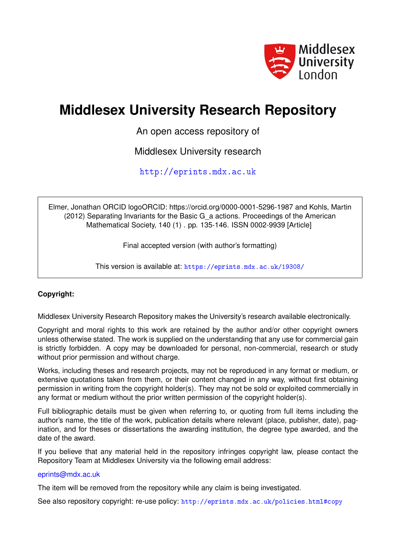

# **Middlesex University Research Repository**

An open access repository of

Middlesex University research

<http://eprints.mdx.ac.uk>

Elmer, Jonathan ORCID logoORCID: https://orcid.org/0000-0001-5296-1987 and Kohls, Martin (2012) Separating Invariants for the Basic G\_a actions. Proceedings of the American Mathematical Society, 140 (1) . pp. 135-146. ISSN 0002-9939 [Article]

Final accepted version (with author's formatting)

This version is available at: <https://eprints.mdx.ac.uk/19308/>

# **Copyright:**

Middlesex University Research Repository makes the University's research available electronically.

Copyright and moral rights to this work are retained by the author and/or other copyright owners unless otherwise stated. The work is supplied on the understanding that any use for commercial gain is strictly forbidden. A copy may be downloaded for personal, non-commercial, research or study without prior permission and without charge.

Works, including theses and research projects, may not be reproduced in any format or medium, or extensive quotations taken from them, or their content changed in any way, without first obtaining permission in writing from the copyright holder(s). They may not be sold or exploited commercially in any format or medium without the prior written permission of the copyright holder(s).

Full bibliographic details must be given when referring to, or quoting from full items including the author's name, the title of the work, publication details where relevant (place, publisher, date), pagination, and for theses or dissertations the awarding institution, the degree type awarded, and the date of the award.

If you believe that any material held in the repository infringes copyright law, please contact the Repository Team at Middlesex University via the following email address:

# [eprints@mdx.ac.uk](mailto:eprints@mdx.ac.uk)

The item will be removed from the repository while any claim is being investigated.

See also repository copyright: re-use policy: <http://eprints.mdx.ac.uk/policies.html#copy>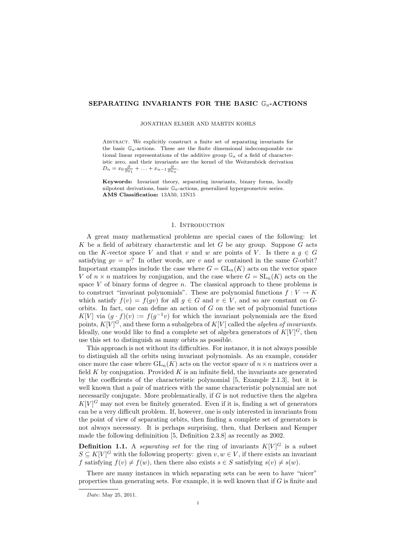## SEPARATING INVARIANTS FOR THE BASIC  $\mathbb{G}_a$ -ACTIONS

JONATHAN ELMER AND MARTIN KOHLS

ABSTRACT. We explicitly construct a finite set of separating invariants for the basic  $\mathbb{G}_a$ -actions. These are the finite dimensional indecomposable rational linear representations of the additive group  $\mathbb{G}_a$  of a field of characteristic zero, and their invariants are the kernel of the Weitzenböck derivation  $D_n = x_0 \frac{\partial}{\partial x_1} + \ldots + x_{n-1} \frac{\partial}{\partial x_n}.$ 

Keywords: Invariant theory, separating invariants, binary forms, locally nilpotent derivations, basic  $\mathbb{G}_a$ -actions, generalized hypergeometric series. AMS Classification: 13A50, 13N15

### 1. INTRODUCTION

A great many mathematical problems are special cases of the following: let K be a field of arbitrary characterstic and let  $G$  be any group. Suppose  $G$  acts on the K-vector space V and that v and w are points of V. Is there a  $g \in G$ satisfying  $qv = w$ ? In other words, are v and w contained in the same G-orbit? Important examples include the case where  $G = GL_n(K)$  acts on the vector space V of  $n \times n$  matrices by conjugation, and the case where  $G = SL_n(K)$  acts on the space  $V$  of binary forms of degree  $n$ . The classical approach to these problems is to construct "invariant polynomials". These are polynomial functions  $f: V \to K$ which satisfy  $f(v) = f(gv)$  for all  $g \in G$  and  $v \in V$ , and so are constant on Gorbits. In fact, one can define an action of  $G$  on the set of polynomial functions K[V] via  $(g \cdot f)(v) := f(g^{-1}v)$  for which the invariant polynomials are the fixed points,  $K[V]$ <sup>C</sup>, and these form a subalgebra of  $K[V]$  called the *algebra of invariants*. Ideally, one would like to find a complete set of algebra generators of  $K[V]$ <sup>G</sup>, then use this set to distinguish as many orbits as possible.

This approach is not without its difficulties. For instance, it is not always possible to distinguish all the orbits using invariant polynomials. As an example, consider once more the case where  $GL_n(K)$  acts on the vector space of  $n \times n$  matrices over a field  $K$  by conjugation. Provided  $K$  is an infinite field, the invariants are generated by the coefficients of the characteristic polynomial [5, Example 2.1.3], but it is well known that a pair of matrices with the same characteristic polynomial are not necessarily conjugate. More problematically, if  $G$  is not reductive then the algebra  $K[V]$ <sup>G</sup> may not even be finitely generated. Even if it is, finding a set of generators can be a very difficult problem. If, however, one is only interested in invariants from the point of view of separating orbits, then finding a complete set of generators is not always necessary. It is perhaps surprising, then, that Derksen and Kemper made the following defininition [5, Definition 2.3.8] as recently as 2002.

**Definition 1.1.** A separating set for the ring of invariants  $K[V]$ <sup>G</sup> is a subset  $S \subseteq K[V]^G$  with the following property: given  $v, w \in V$ , if there exists an invariant f satisfying  $f(v) \neq f(w)$ , then there also exists  $s \in S$  satisfying  $s(v) \neq s(w)$ .

There are many instances in which separating sets can be seen to have "nicer" properties than generating sets. For example, it is well known that if  $G$  is finite and

Date: May 25, 2011.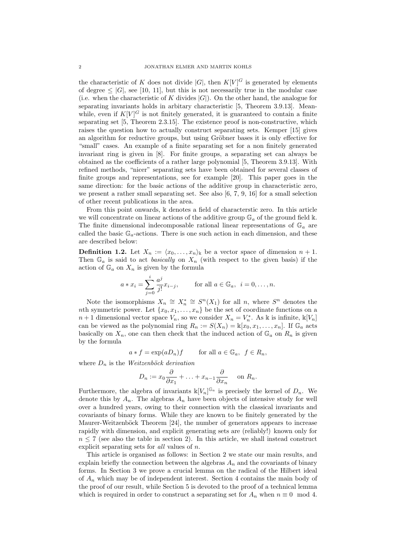the characteristic of K does not divide |G|, then  $K[V]$ <sup>G</sup> is generated by elements of degree  $\leq |G|$ , see [10, 11], but this is not necessarily true in the modular case (i.e. when the characteristic of K divides  $|G|$ ). On the other hand, the analogue for separating invariants holds in arbitary characteristic [5, Theorem 3.9.13]. Meanwhile, even if  $K[V]$ <sup>G</sup> is not finitely generated, it is guaranteed to contain a finite separating set [5, Theorem 2.3.15]. The existence proof is non-constructive, which raises the question how to actually construct separating sets. Kemper [15] gives an algorithm for reductive groups, but using Gröbner bases it is only effective for "small" cases. An example of a finite separating set for a non finitely generated invariant ring is given in [8]. For finite groups, a separating set can always be obtained as the coefficients of a rather large polynomial [5, Theorem 3.9.13]. With refined methods, "nicer" separating sets have been obtained for several classes of finite groups and representations, see for example [20]. This paper goes in the same direction: for the basic actions of the additive group in characteristic zero, we present a rather small separating set. See also  $[6, 7, 9, 16]$  for a small selection of other recent publications in the area.

From this point onwards, k denotes a field of characterstic zero. In this article we will concentrate on linear actions of the additive group  $\mathbb{G}_a$  of the ground field k. The finite dimensional indecomposable rational linear representations of  $\mathbb{G}_a$  are called the basic  $\mathbb{G}_a$ -actions. There is one such action in each dimension, and these are described below:

**Definition 1.2.** Let  $X_n := \langle x_0, \ldots, x_n \rangle$  be a vector space of dimension  $n + 1$ . Then  $\mathbb{G}_a$  is said to act *basically* on  $X_n$  (with respect to the given basis) if the action of  $\mathbb{G}_a$  on  $X_n$  is given by the formula

$$
a * x_i = \sum_{j=0}^{i} \frac{a^j}{j!} x_{i-j}
$$
, for all  $a \in \mathbb{G}_a$ ,  $i = 0, ..., n$ .

Note the isomorphisms  $X_n \cong X_n^* \cong S^n(X_1)$  for all n, where  $S^n$  denotes the nth symmetric power. Let  $\{x_0, x_1, \ldots, x_n\}$  be the set of coordinate functions on a  $n+1$  dimensional vector space  $V_n$ , so we consider  $X_n = V_n^*$ . As k is infinite,  $\mathbb{K}[V_n]$ can be viewed as the polynomial ring  $R_n := S(X_n) = \mathbb{k}[x_0, x_1, \ldots, x_n]$ . If  $\mathbb{G}_a$  acts basically on  $X_n$ , one can then check that the induced action of  $\mathbb{G}_a$  on  $R_n$  is given by the formula

$$
a * f = \exp(aD_n)f
$$
 for all  $a \in \mathbb{G}_a$ ,  $f \in R_n$ ,

where  $D_n$  is the Weitzenböck derivation

$$
D_n := x_0 \frac{\partial}{\partial x_1} + \ldots + x_{n-1} \frac{\partial}{\partial x_n} \quad \text{on } R_n.
$$

Furthermore, the algebra of invariants  $\mathbb{k}[V_n]^{\mathbb{G}_a}$  is precisely the kernel of  $D_n$ . We denote this by  $A_n$ . The algebras  $A_n$  have been objects of intensive study for well over a hundred years, owing to their connection with the classical invariants and covariants of binary forms. While they are known to be finitely generated by the Maurer-Weitzenböck Theorem  $[24]$ , the number of generators appears to increase rapidly with dimension, and explicit generating sets are (reliably!) known only for  $n \leq 7$  (see also the table in section 2). In this article, we shall instead construct explicit separating sets for all values of n.

This article is organised as follows: in Section 2 we state our main results, and explain briefly the connection between the algebras  $A_n$  and the covariants of binary forms. In Section 3 we prove a crucial lemma on the radical of the Hilbert ideal of  $A_n$  which may be of independent interest. Section 4 contains the main body of the proof of our result, while Section 5 is devoted to the proof of a technical lemma which is required in order to construct a separating set for  $A_n$  when  $n \equiv 0 \mod 4$ .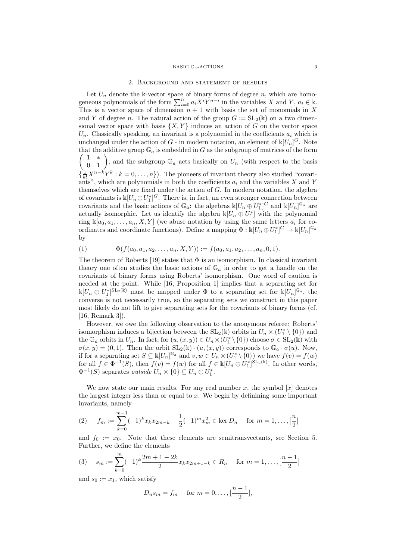#### 2. Background and statement of results

Let  $U_n$  denote the k-vector space of binary forms of degree n, which are homogeneous polynomials of the form  $\sum_{i=0}^{n} a_i X^i Y^{n-i}$  in the variables X and Y,  $a_i \in \mathbb{k}$ . This is a vector space of dimension  $n + 1$  with basis the set of monomials in X and Y of degree n. The natural action of the group  $G := SL_2(\mathbb{k})$  on a two dimensional vector space with basis  $\{X, Y\}$  induces an action of G on the vector space  $U_n$ . Classically speaking, an invariant is a polynomial in the coefficients  $a_i$  which is unchanged under the action of  $G$  - in modern notation, an element of  $\mathbb{k}[U_n]^G$ . Note that the additive group  $\mathbb{G}_a$  is embedded in G as the subgroup of matrices of the form  $\begin{pmatrix} 1 & * \\ 0 & 1 \end{pmatrix}$ , and the subgroup  $\mathbb{G}_a$  acts basically on  $U_n$  (with respect to the basis  $\{\frac{1}{k!}X^{n-k}Y^k : k = 0, \ldots, n\}$ . The pioneers of invariant theory also studied "covariants", which are polynomials in both the coefficients  $a_i$  and the variables X and Y themselves which are fixed under the action of G. In modern notation, the algebra of covariants is  $\mathbb{K}[U_n \oplus U_1^*]^G$ . There is, in fact, an even stronger connection between covariants and the basic actions of  $\mathbb{G}_a$ : the algebras  $\Bbbk[U_n \stackrel{\sim}{\oplus} U_1^*]^G$  and  $\Bbbk[U_n]^{\mathbb{G}_a}$  are actually isomorphic. Let us identify the algebra  $\mathbb{K}[U_n \oplus U_1^*]$  with the polynomial ring  $\mathbb{K}[a_0, a_1, \ldots, a_n, X, Y]$  (we abuse notation by using the same letters  $a_i$  for coordinates and coordinate functions). Define a mapping  $\Phi: \Bbbk[U_n \oplus U_1^*]^G \to \Bbbk[U_n]^{\mathbb{G}_a}$ by

(1) 
$$
\Phi(f(a_0, a_1, a_2, \dots, a_n, X, Y)) := f(a_0, a_1, a_2, \dots, a_n, 0, 1).
$$

The theorem of Roberts [19] states that  $\Phi$  is an isomorphism. In classical invariant theory one often studies the basic actions of  $\mathbb{G}_a$  in order to get a handle on the covariants of binary forms using Roberts' isomorphism. One word of caution is needed at the point. While [16, Proposition 1] implies that a separating set for  $\Bbbk[U_n \oplus U_1^*]^{\mathrm{SL}_2(\mathbb{k})}$  must be mapped under  $\Phi$  to a separating set for  $\Bbbk[U_n]^{\mathbb{G}_a}$ , the converse is not necessarily true, so the separating sets we construct in this paper most likely do not lift to give separating sets for the covariants of binary forms (cf. [16, Remark 3]).

However, we owe the following observation to the anonymous referee: Roberts' isomorphism induces a bijection between the  $SL_2(\mathbb{k})$  orbits in  $U_n \times (U_1^* \setminus \{0\})$  and the  $\mathbb{G}_a$  orbits in  $U_n$ . In fact, for  $(u,(x,y)) \in U_n \times (U_1^* \setminus \{0\})$  choose  $\sigma \in SL_2(\mathbb{K})$  with  $\sigma(x, y) = (0, 1)$ . Then the orbit  $SL_2(\mathbb{k}) \cdot (u, (x, y))$  corresponds to  $\mathbb{G}_a \cdot \sigma(u)$ . Now, if for a separating set  $S \subseteq \Bbbk[U_n]^{\mathbb{G}_a}$  and  $v, w \in U_n \times (U_1^* \setminus \{0\})$  we have  $f(v) = f(w)$ for all  $f \in \Phi^{-1}(S)$ , then  $f(v) = f(w)$  for all  $f \in \mathbb{k}[U_n \oplus U_1^*]^{\text{SL}_2(\mathbb{k})}$ . In other words,  $\Phi^{-1}(S)$  separates *outside*  $U_n \times \{0\} \subseteq U_n \oplus U_1^*$ .

We now state our main results. For any real number x, the symbol  $[x]$  denotes the largest integer less than or equal to  $x$ . We begin by definining some important invariants, namely

(2) 
$$
f_m := \sum_{k=0}^{m-1} (-1)^k x_k x_{2m-k} + \frac{1}{2} (-1)^m x_m^2 \in \text{ker } D_n \quad \text{for } m = 1, ..., \lfloor \frac{n}{2} \rfloor
$$

and  $f_0 := x_0$ . Note that these elements are semitransvectants, see Section 5. Further, we define the elements

$$
(3) \quad s_m := \sum_{k=0}^{m} (-1)^k \frac{2m+1-2k}{2} x_k x_{2m+1-k} \in R_n \quad \text{for } m = 1, \dots, \lceil \frac{n-1}{2} \rceil
$$

and  $s_0 := x_1$ , which satisfy

$$
D_n s_m = f_m
$$
 for  $m = 0, ..., \lfloor \frac{n-1}{2} \rfloor$ ,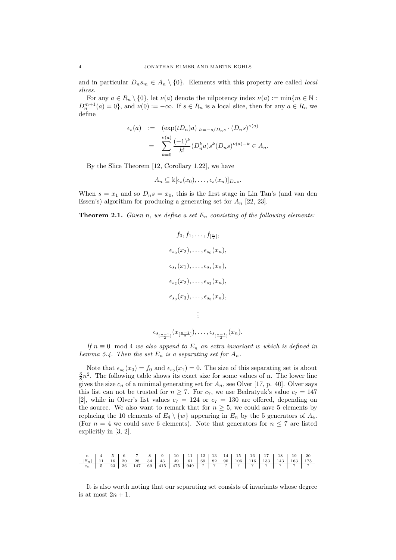and in particular  $D_n s_m \in A_n \setminus \{0\}$ . Elements with this property are called *local* slices.

For any  $a \in R_n \setminus \{0\}$ , let  $\nu(a)$  denote the nilpotency index  $\nu(a) := \min\{m \in \mathbb{N} :$  $D_n^{m+1}(a) = 0$ , and  $\nu(0) := -\infty$ . If  $s \in R_n$  is a local slice, then for any  $a \in R_n$  we define

$$
\epsilon_s(a) := (\exp(tD_n)a)|_{t:=-s/D_ns} \cdot (D_ns)^{\nu(a)}
$$
  
= 
$$
\sum_{k=0}^{\nu(a)} \frac{(-1)^k}{k!} (D_n^k a) s^k (D_n s)^{\nu(a)-k} \in A_n.
$$

By the Slice Theorem [12, Corollary 1.22], we have

$$
A_n \subseteq \mathbb{k}[\epsilon_s(x_0), \ldots, \epsilon_s(x_n)]_{D_n s}.
$$

When  $s = x_1$  and so  $D_n s = x_0$ , this is the first stage in Lin Tan's (and van den Essen's) algorithm for producing a generating set for  $A_n$  [22, 23].

**Theorem 2.1.** Given n, we define a set  $E_n$  consisting of the following elements:

$$
f_0, f_1, \ldots, f_{\left[\frac{n}{2}\right]},
$$
  
\n
$$
\epsilon_{s_0}(x_2), \ldots, \epsilon_{s_0}(x_n),
$$
  
\n
$$
\epsilon_{s_1}(x_1), \ldots, \epsilon_{s_1}(x_n),
$$
  
\n
$$
\epsilon_{s_2}(x_2), \ldots, \epsilon_{s_2}(x_n),
$$
  
\n
$$
\epsilon_{s_3}(x_3), \ldots, \epsilon_{s_3}(x_n),
$$
  
\n
$$
\vdots
$$

$$
\epsilon_{s_{\lfloor\frac{n-1}{2}\rfloor}}(x_{\lfloor\frac{n-1}{2}\rfloor}),\ldots,\epsilon_{s_{\lfloor\frac{n-1}{2}\rfloor}}(x_n).
$$

If  $n \equiv 0 \mod 4$  we also append to  $E_n$  an extra invariant w which is defined in Lemma 5.4. Then the set  $E_n$  is a separating set for  $A_n$ .

Note that  $\epsilon_{s_0}(x_0) = f_0$  and  $\epsilon_{s_0}(x_1) = 0$ . The size of this separating set is about  $\frac{3}{8}n^2$ . The following table shows its exact size for some values of n. The lower line gives the size  $c_n$  of a minimal generating set for  $A_n$ , see Olver [17, p. 40]. Olver says this list can not be trusted for  $n \geq 7$ . For  $c_7$ , we use Bedratyuk's value  $c_7 = 147$ [2], while in Olver's list values  $c_7 = 124$  or  $c_7 = 130$  are offered, depending on the source. We also want to remark that for  $n \geq 5$ , we could save 5 elements by replacing the 10 elements of  $E_4 \setminus \{w\}$  appearing in  $E_n$  by the 5 generators of  $A_4$ . (For  $n = 4$  we could save 6 elements). Note that generators for  $n \leq 7$  are listed explicitly in [3, 2].

|                                                                  |  |  | n   4   5   6   7   8   9   10   11   12   13   14   15   16   17   18   19   20 |  |  |  |  |  |  |
|------------------------------------------------------------------|--|--|----------------------------------------------------------------------------------|--|--|--|--|--|--|
| $ E_n $ 11 16 20 28 34 43 49 61 69 82 90 106 116 133 143 163 175 |  |  |                                                                                  |  |  |  |  |  |  |
|                                                                  |  |  |                                                                                  |  |  |  |  |  |  |

It is also worth noting that our separating set consists of invariants whose degree is at most  $2n + 1$ .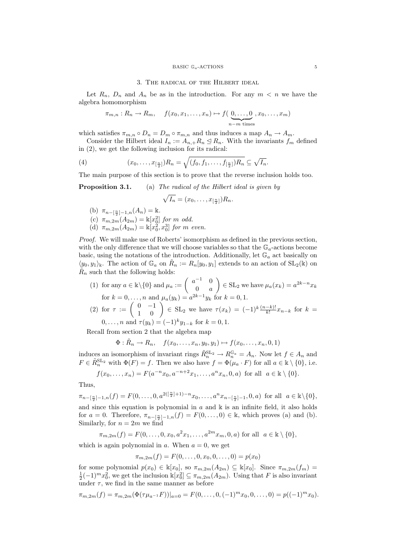#### BASIC  $\mathbb{G}_a$ -ACTIONS 5

#### 3. The radical of the Hilbert ideal

Let  $R_n$ ,  $D_n$  and  $A_n$  be as in the introduction. For any  $m < n$  we have the algebra homomorphism

$$
\pi_{m,n}: R_n \to R_m
$$
,  $f(x_0, x_1, \ldots, x_n) \mapsto f(\underbrace{0, \ldots, 0}_{n-m \text{ times}}, x_0, \ldots, x_m)$ 

which satisfies  $\pi_{m,n} \circ D_n = D_m \circ \pi_{m,n}$  and thus induces a map  $A_n \to A_m$ .

Consider the Hilbert ideal  $I_n := A_{n,+} R_n \trianglelefteq R_n$ . With the invariants  $f_m$  defined in (2), we get the following inclusion for its radical:

(4) 
$$
(x_0, \ldots, x_{[\frac{n}{2}]})R_n = \sqrt{(f_0, f_1, \ldots, f_{[\frac{n}{2}]})R_n} \subseteq \sqrt{I_n}.
$$

The main purpose of this section is to prove that the reverse inclusion holds too.

**Proposition 3.1.** (a) The radical of the Hilbert ideal is given by

$$
\sqrt{I_n}=(x_0,\ldots,x_{\left[\frac{n}{2}\right]})R_n.
$$

- (b)  $\pi_{n-\left[\frac{n}{2}\right]-1,n}(A_n)=\mathbb{k}.$
- (c)  $\pi_{m,2m}(A_{2m}) = \mathbb{k}[x_0^2]$  for m odd.
- (d)  $\pi_{m,2m}(A_{2m}) = \mathbb{k}[x_0^2, x_0^3]$  for m even.

Proof. We will make use of Roberts' isomorphism as defined in the previous section, with the only difference that we will choose variables so that the  $\mathbb{G}_a$ -actions become basic, using the notations of the introduction. Additionally, let  $\mathbb{G}_a$  act basically on  $\langle y_0, y_1 \rangle_{\mathbb{R}}$ . The action of  $\mathbb{G}_a$  on  $\tilde{R}_n := R_n[y_0, y_1]$  extends to an action of  $SL_2(\mathbb{R})$  on  $\tilde{R}_n$  such that the following holds:

(1) for any 
$$
a \in \mathbb{k} \setminus \{0\}
$$
 and  $\mu_a := \begin{pmatrix} a^{-1} & 0 \\ 0 & a \end{pmatrix} \in \text{SL}_2$  we have  $\mu_a(x_k) = a^{2k-n} x_k$  for  $k = 0, \ldots, n$  and  $\mu_a(y_k) = a^{2k-1} y_k$  for  $k = 0, 1$ . \n(2) for  $\tau := \begin{pmatrix} 0 & -1 \\ 1 & 0 \end{pmatrix} \in \text{SL}_2$  we have  $\tau(x_k) = (-1)^k \frac{(n-k)!}{k!} x_{n-k}$  for  $k = 0$ .

$$
0, \ldots, n
$$
 and  $\tau(y_k) = (-1)^k y_{1-k}$  for  $k = 0, 1$ .

Recall from section 2 that the algebra map

$$
\Phi: \tilde{R}_n \to R_n, \quad f(x_0, \ldots, x_n, y_0, y_1) \mapsto f(x_0, \ldots, x_n, 0, 1)
$$

induces an isomorphism of invariant rings  $\tilde{R}_n^{\text{SL}_2} \to R_n^{\mathbb{G}_a} = A_n$ . Now let  $f \in A_n$  and  $F \in \tilde{R}_n^{\text{SL}_2}$  with  $\Phi(F) = f$ . Then we also have  $f = \Phi(\mu_a \cdot F)$  for all  $a \in \mathbb{k} \setminus \{0\}$ , i.e.

$$
f(x_0,...,x_n) = F(a^{-n}x_0, a^{-n+2}x_1,..., a^nx_n, 0, a)
$$
 for all  $a \in \mathbb{k} \setminus \{0\}.$ 

Thus,

 $\pi_{n - \lfloor \frac{n}{2} \rfloor - 1, n}(f) = F(0, \ldots, 0, a^{2(\lfloor \frac{n}{2} \rfloor + 1) - n} x_0, \ldots, a^n x_{n - \lfloor \frac{n}{2} \rfloor - 1}, 0, a)$  for all  $a \in \mathbb{k} \setminus \{0\},\$ and since this equation is polynomial in  $a$  and  $\Bbbk$  is an infinite field, it also holds for  $a = 0$ . Therefore,  $\pi_{n - \lfloor \frac{n}{2} \rfloor - 1, n}(f) = F(0, \ldots, 0) \in \mathbb{k}$ , which proves (a) and (b). Similarly, for  $n = 2m$  we find

 $\pi_{m,2m}(f) = F(0,\ldots,0,x_0,a^2x_1,\ldots,a^{2m}x_m,0,a)$  for all  $a \in \mathbb{k} \setminus \{0\},$ 

which is again polynomial in a. When  $a = 0$ , we get

 $\pi_{m,2m}(f) = F(0,\ldots,0,x_0,0,\ldots,0) = p(x_0)$ 

for some polynomial  $p(x_0) \in \mathbb{k}[x_0]$ , so  $\pi_{m,2m}(A_{2m}) \subseteq \mathbb{k}[x_0]$ . Since  $\pi_{m,2m}(f_m) =$  $\frac{1}{2}(-1)^m x_0^2$ , we get the inclusion  $\mathbb{k}[x_0^2] \subseteq \pi_{m,2m}(A_{2m})$ . Using that F is also invariant under  $\tau$ , we find in the same manner as before

$$
\pi_{m,2m}(f) = \pi_{m,2m}(\Phi(\tau \mu_{a^{-1}} F))|_{a=0} = F(0,\ldots,0,(-1)^m x_0,0,\ldots,0) = p((-1)^m x_0).
$$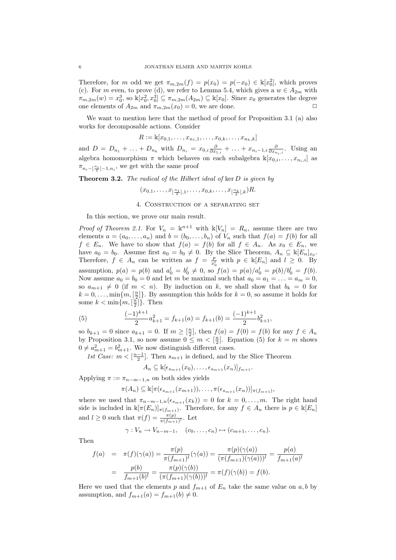Therefore, for m odd we get  $\pi_{m,2m}(f) = p(x_0) = p(-x_0) \in \mathbb{k}[x_0^2]$ , which proves (c). For m even, to prove (d), we refer to Lemma 5.4, which gives a  $w \in A_{2m}$  with  $\pi_{m,2m}(w) = x_0^3$ , so  $\mathbb{K}[x_0^2, x_0^3] \subseteq \pi_{m,2m}(A_{2m}) \subseteq \mathbb{K}[x_0]$ . Since  $x_0$  generates the degree one elements of  $A_{2m}$  and  $\pi_{m,2m}(x_0) = 0$ , we are done.

We want to mention here that the method of proof for Proposition 3.1 (a) also works for decomposable actions. Consider

 $R := \mathbb{k}[x_{0,1}, \ldots, x_{n_1,1}, \ldots, x_{0,k}, \ldots, x_{n_k,k}]$ 

and  $D = D_{n_1} + \ldots + D_{n_k}$  with  $D_{n_i} = x_{0,i} \frac{\partial}{\partial x_{1,i}} + \ldots + x_{n_i-1,i} \frac{\partial}{\partial x_{n_i,i}}$ . Using an algebra homomorphism  $\pi$  which behaves on each subalgebra  $\mathbb{K}[x_{0,i},\ldots,x_{n_i,i}]$  as  $\pi_{n_i - \left[\frac{n_i}{2}\right] - 1, n_i}$ , we get with the same proof

**Theorem 3.2.** The radical of the Hilbert ideal of ker  $D$  is given by

$$
(x_{0,1},\ldots,x_{\left[\frac{n_1}{2}\right],1},\ldots,x_{0,k},\ldots,x_{\left[\frac{n_k}{2}\right],k})R.
$$

# 4. Construction of a separating set

In this section, we prove our main result.

*Proof of Theorem 2.1.* For  $V_n = \mathbb{k}^{n+1}$  with  $\mathbb{k}[V_n] = R_n$ , assume there are two elements  $a = (a_0, \ldots, a_n)$  and  $b = (b_0, \ldots, b_n)$  of  $V_n$  such that  $f(a) = f(b)$  for all  $f \in E_n$ . We have to show that  $f(a) = f(b)$  for all  $f \in A_n$ . As  $x_0 \in E_n$ , we have  $a_0 = b_0$ . Assume first  $a_0 = b_0 \neq 0$ . By the Slice Theorem,  $A_n \subseteq \mathbb{K}[E_n]_{x_0}$ . Therefore,  $f \in A_n$  can be written as  $f = \frac{p}{r^2}$  $\frac{p}{x_0^l}$  with  $p \in \mathbb{k}[E_n]$  and  $l \geq 0$ . By assumption,  $p(a) = p(b)$  and  $a_0^l = b_0^l \neq 0$ , so  $f(a) = p(a)/a_0^l = p(b)/b_0^l = f(b)$ . Now assume  $a_0 = b_0 = 0$  and let m be maximal such that  $a_0 = a_1 = \ldots = a_m = 0$ , so  $a_{m+1} \neq 0$  (if  $m < n$ ). By induction on k, we shall show that  $b_k = 0$  for  $k = 0, \ldots, \min\{m, \lfloor \frac{n}{2} \rfloor\}.$  By assumption this holds for  $k = 0$ , so assume it holds for some  $k < \min\{m, \lceil \frac{n}{2} \rceil\}$ . Then

(5) 
$$
\frac{(-1)^{k+1}}{2}a_{k+1}^2 = f_{k+1}(a) = f_{k+1}(b) = \frac{(-1)^{k+1}}{2}b_{k+1}^2,
$$

so  $b_{k+1} = 0$  since  $a_{k+1} = 0$ . If  $m \geq \lfloor \frac{n}{2} \rfloor$ , then  $f(a) = f(0) = f(b)$  for any  $f \in A_n$ by Proposition 3.1, so now assume  $0 \leq m < \lceil \frac{n}{2} \rceil$ . Equation (5) for  $k = m$  shows  $0 \neq a_{m+1}^2 = b_{m+1}^2$ . We now distinguish different cases.

1st Case:  $m < \left[\frac{n-1}{2}\right]$ . Then  $s_{m+1}$  is defined, and by the Slice Theorem

$$
A_n \subseteq \mathbb{k}[\epsilon_{s_{m+1}}(x_0), \ldots, \epsilon_{s_{m+1}}(x_n)]_{f_{m+1}}.
$$

Applying  $\pi := \pi_{n-m-1,n}$  on both sides yields

$$
\pi(A_n) \subseteq \mathbb{K}[\pi(\epsilon_{s_{m+1}}(x_{m+1})), \ldots, \pi(\epsilon_{s_{m+1}}(x_n))]_{\pi(f_{m+1})},
$$

where we used that  $\pi_{n-m-1,n}(\epsilon_{s_{m+1}}(x_k)) = 0$  for  $k = 0, \ldots, m$ . The right hand side is included in  $\mathbb{k}[\pi(E_n)]_{\pi(f_{m+1})}$ . Therefore, for any  $f \in A_n$  there is  $p \in \mathbb{k}[E_n]$ and  $l \geq 0$  such that  $\pi(f) = \frac{\pi(p)}{\pi(f_{m+1})^l}$ . Let

$$
\gamma: V_n \to V_{n-m-1}, \quad (c_0, \ldots, c_n) \mapsto (c_{m+1}, \ldots, c_n).
$$

Then

$$
f(a) = \pi(f)(\gamma(a)) = \frac{\pi(p)}{\pi(f_{m+1})^l}(\gamma(a)) = \frac{\pi(p)(\gamma(a))}{(\pi(f_{m+1})(\gamma(a)))^l} = \frac{p(a)}{f_{m+1}(a)^l}
$$

$$
= \frac{p(b)}{f_{m+1}(b)^l} = \frac{\pi(p)(\gamma(b))}{(\pi(f_{m+1})(\gamma(b)))^l} = \pi(f)(\gamma(b)) = f(b).
$$

Here we used that the elements p and  $f_{m+1}$  of  $E_n$  take the same value on a, b by assumption, and  $f_{m+1}(a) = f_{m+1}(b) \neq 0$ .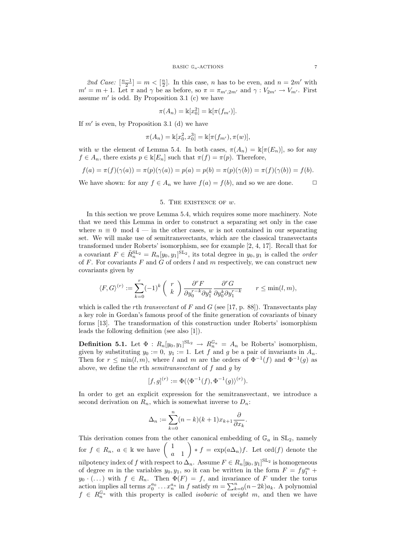2nd Case:  $\left[\frac{n-1}{2}\right] = m < \left[\frac{n}{2}\right]$ . In this case, *n* has to be even, and  $n = 2m'$  with  $m' = m + 1$ . Let  $\pi$  and  $\gamma$  be as before, so  $\pi = \pi_{m',2m'}$  and  $\gamma : V_{2m'} \to V_{m'}$ . First assume  $m'$  is odd. By Proposition 3.1 (c) we have

$$
\pi(A_n) = \mathbb{k}[x_0^2] = \mathbb{k}[\pi(f_{m'})].
$$

If  $m'$  is even, by Proposition 3.1 (d) we have

$$
\pi(A_n) = \mathbb{k}[x_0^2, x_0^3] = \mathbb{k}[\pi(f_{m'}), \pi(w)],
$$

with w the element of Lemma 5.4. In both cases,  $\pi(A_n) = \mathbb{k}[\pi(E_n)]$ , so for any  $f \in A_n$ , there exists  $p \in \mathbb{K}[E_n]$  such that  $\pi(f) = \pi(p)$ . Therefore,

$$
f(a) = \pi(f)(\gamma(a)) = \pi(p)(\gamma(a)) = p(a) = p(b) = \pi(p)(\gamma(b)) = \pi(f)(\gamma(b)) = f(b).
$$

We have shown: for any  $f \in A_n$  we have  $f(a) = f(b)$ , and so we are done.  $\Box$ 

## 5. The existence of w.

In this section we prove Lemma 5.4, which requires some more machinery. Note that we need this Lemma in order to construct a separating set only in the case where  $n \equiv 0 \mod 4$  — in the other cases, w is not contained in our separating set. We will make use of semitransvectants, which are the classical transvectants transformed under Roberts' isomorphism, see for example [2, 4, 17]. Recall that for a covariant  $F \in \tilde{R}_n^{\mathrm{SL}_2} = R_n[y_0, y_1]^{\mathrm{SL}_2}$ , its total degree in  $y_0, y_1$  is called the *order* of F. For covariants F and G of orders l and m respectively, we can construct new covariants given by

$$
\langle F, G \rangle^{(r)} := \sum_{k=0}^r (-1)^k \binom{r}{k} \frac{\partial^r F}{\partial y_0^{r-k} \partial y_1^k} \frac{\partial^r G}{\partial y_0^k \partial y_1^{r-k}} \qquad r \leq \min(l, m),
$$

which is called the rth transvectant of  $F$  and  $G$  (see [17, p. 88]). Transvectants play a key role in Gordan's famous proof of the finite generation of covariants of binary forms [13]. The transformation of this construction under Roberts' isomorphism leads the following definition (see also [1]).

**Definition 5.1.** Let  $\Phi: R_n[y_0, y_1]^{\mathrm{SL}_2} \to R_n^{\mathbb{G}_a} = A_n$  be Roberts' isomorphism, given by substituting  $y_0 := 0$ ,  $y_1 := 1$ . Let f and g be a pair of invariants in  $A_n$ . Then for  $r \leq \min(l,m)$ , where l and m are the orders of  $\Phi^{-1}(f)$  and  $\Phi^{-1}(g)$  as above, we define the rth semitransvectant of f and g by

$$
[f,g]^{(r)} := \Phi(\langle \Phi^{-1}(f), \Phi^{-1}(g) \rangle^{(r)}).
$$

In order to get an explicit expression for the semitransvectant, we introduce a second derivation on  $R_n$ , which is somewhat inverse to  $D_n$ :

$$
\Delta_n := \sum_{k=0}^n (n-k)(k+1)x_{k+1} \frac{\partial}{\partial x_k}.
$$

This derivation comes from the other canonical embedding of  $\mathbb{G}_a$  in  $SL_2$ , namely for  $f \in R_n$ ,  $a \in \mathbb{k}$  we have  $\begin{pmatrix} 1 \\ 1 \end{pmatrix}$ a 1  $\Big\} * f = \exp(a \Delta_n) f.$  Let ord $(f)$  denote the nilpotency index of f with respect to  $\Delta_n$ . Assume  $F \in R_n[y_0, y_1]^{\mathrm{SL}_2}$  is homogeneous of degree m in the variables  $y_0, y_1$ , so it can be written in the form  $F = fy_1^m +$  $y_0 \cdot (\dots)$  with  $f \in R_n$ . Then  $\Phi(F) = f$ , and invariance of F under the torus action implies all terms  $x_0^{a_0} \dots x_n^{a_n}$  in f satisfy  $m = \sum_{k=0}^n (n-2k)a_k$ . A polynomial  $f \in R_n^{\mathbb{G}_a}$  with this property is called *isobaric* of weight m, and then we have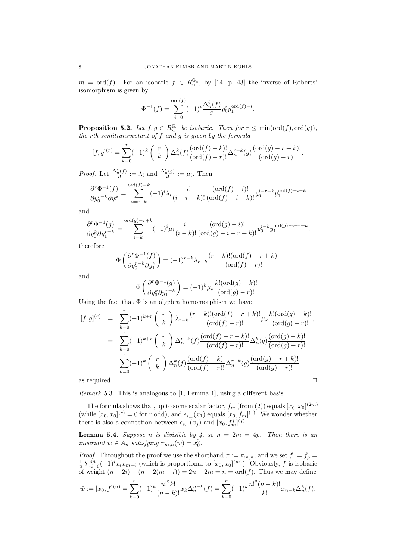$m = \text{ord}(f)$ . For an isobaric  $f \in R_n^{\mathbb{G}_a}$ , by [14, p. 43] the inverse of Roberts' isomorphism is given by

$$
\Phi^{-1}(f) = \sum_{i=0}^{\text{ord}(f)} (-1)^i \frac{\Delta_n^i(f)}{i!} y_0^i y_1^{\text{ord}(f)-i}.
$$

**Proposition 5.2.** Let  $f, g \in R_n^{\mathbb{G}_a}$  be isobaric. Then for  $r \leq \min(\text{ord}(f), \text{ord}(g)),$ the rth semitransvectant of f and g is given by the formula

$$
[f,g]^{(r)} = \sum_{k=0}^{r} (-1)^k {r \choose k} \Delta_n^k(f) \frac{(\text{ord}(f)-k)!}{(\text{ord}(f)-r)!} \Delta_n^{r-k}(g) \frac{(\text{ord}(g)-r+k)!}{(\text{ord}(g)-r)!}.
$$

*Proof.* Let  $\frac{\Delta_n^i(f)}{i!} := \lambda_i$  and  $\frac{\Delta_n^i(g)}{i!} := \mu_i$ . Then

$$
\frac{\partial^r \Phi^{-1}(f)}{\partial y_0^{r-k} \partial y_1^k} = \sum_{i=r-k}^{\text{ord}(f)-k} (-1)^i \lambda_i \frac{i!}{(i-r+k)!} \frac{(\text{ord}(f)-i)!}{(\text{ord}(f)-i-k)!} y_0^{i-r+k} y_1^{\text{ord}(f)-i-k}
$$

and

$$
\frac{\partial^r \Phi^{-1}(g)}{\partial y_0^k \partial y_1^{r-k}} = \sum_{i=k}^{\text{ord}(g)-r+k} (-1)^i \mu_i \frac{i!}{(i-k)!} \frac{(\text{ord}(g)-i)!}{(\text{ord}(g)-i-r+k)!} y_0^{i-k} y_1^{\text{ord}(g)-i-r+k},
$$

therefore

$$
\Phi\left(\frac{\partial^r \Phi^{-1}(f)}{\partial y_0^{r-k} \partial y_1^k}\right) = (-1)^{r-k} \lambda_{r-k} \frac{(r-k)!(\mathrm{ord}(f)-r+k)!}{(\mathrm{ord}(f)-r)!}
$$

and

$$
\Phi\left(\frac{\partial^r \Phi^{-1}(g)}{\partial y_0^k \partial y_1^{r-k}}\right) = (-1)^k \mu_k \frac{k! (\text{ord}(g) - k)!}{(\text{ord}(g) - r)!}.
$$

Using the fact that  $\Phi$  is an algebra homomorphism we have

$$
[f,g]^{(r)} = \sum_{k=0}^{r} (-1)^{k+r} {r \choose k} \lambda_{r-k} \frac{(r-k)!(\mathrm{ord}(f)-r+k)!}{(\mathrm{ord}(f)-r)!} \mu_k \frac{k!(\mathrm{ord}(g)-k)!}{(\mathrm{ord}(g)-r)!},
$$
  
\n
$$
= \sum_{k=0}^{r} (-1)^{k+r} {r \choose k} \Delta_n^{r-k}(f) \frac{(\mathrm{ord}(f)-r+k)!}{(\mathrm{ord}(f)-r)!} \Delta_n^k(g) \frac{(\mathrm{ord}(g)-k)!}{(\mathrm{ord}(g)-r)!}
$$
  
\n
$$
= \sum_{k=0}^{r} (-1)^k {r \choose k} \Delta_n^k(f) \frac{(\mathrm{ord}(f)-k)!}{(\mathrm{ord}(f)-r)!} \Delta_n^{r-k}(g) \frac{(\mathrm{ord}(g)-r+k)!}{(\mathrm{ord}(g)-r)!}
$$
  
\nas required.

Remark 5.3. This is analogous to [1, Lemma 1], using a different basis.

The formula shows that, up to some scalar factor,  $f_m$  (from (2)) equals  $[x_0, x_0]^{(2m)}$ (while  $[x_0, x_0]^{(r)} = 0$  for r odd), and  $\epsilon_{s_m}(x_1)$  equals  $[x_0, f_m]^{(1)}$ . We wonder whether there is also a connection between  $\epsilon_{s_m}(x_j)$  and  $[x_0, f_m^j]^{(j)}$ .

**Lemma 5.4.** Suppose n is divisible by 4, so  $n = 2m = 4p$ . Then there is an invariant  $w \in A_n$  satisfying  $\pi_{m,n}(w) = x_0^3$ .

*Proof.* Throughout the proof we use the shorthand  $\pi := \pi_{m,n}$ , and we set  $f := f_p =$  $\frac{1}{2}\sum_{i=0}^{m}(-1)^{i}x_{i}x_{m-i}$  (which is proportional to  $[x_{0},x_{0}]^{(m)}$ ). Obviously, f is isobaric of weight  $(n - 2i) + (n - 2(m - i)) = 2n - 2m = n = \text{ord}(f)$ . Thus we may define

$$
\bar{w} := [x_0, f]^{(n)} = \sum_{k=0}^n (-1)^k \frac{n!^2 k!}{(n-k)!} x_k \Delta_n^{n-k}(f) = \sum_{k=0}^n (-1)^k \frac{n!^2 (n-k)!}{k!} x_{n-k} \Delta_n^k(f),
$$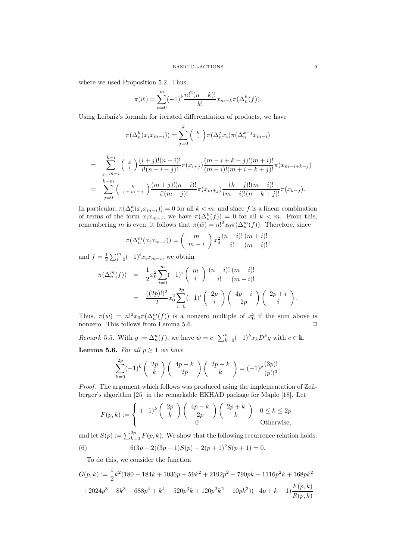where we used Proposition 5.2. Thus,

$$
\pi(\bar{w}) = \sum_{k=0}^{m} (-1)^k \frac{n!^2(n-k)!}{k!} x_{m-k} \pi(\Delta_n^k(f)).
$$

Using Leibniz's formula for iterated differentiation of products, we have

π(∆<sup>k</sup> n (xixm−i)) = X k j=0 k j π(∆<sup>j</sup> nxi)π(∆k−<sup>j</sup> <sup>n</sup> xm−i) X k−i k (i + j)!(n − i)! (m − i + k − j)!(m + i)!

$$
= \sum_{j=m-i}^{\infty} \binom{k}{j} \frac{\binom{k}{i+j} \binom{k}{i+j}}{i!(n-i-j)!} \pi(x_{i+j}) \frac{\binom{k}{i+j} \binom{k}{i+j}}{(m-i)!(m+i-k+j)!} \pi(x_{m-i+k-j})
$$
  

$$
= \sum_{j=0}^{k-m} \binom{k}{j+m-i} \frac{(m+j)!(n-i)!}{i!(m-j)!} \pi(x_{m+j}) \frac{(k-j)!(m+i)!}{(m-i)!(n-k+j)!} \pi(x_{k-j}).
$$

In particular,  $\pi(\Delta_n^k(x_i x_{m-i})) = 0$  for all  $k < m$ , and since f is a linear combination of terms of the form  $x_i x_{m-i}$ , we have  $\pi(\Delta_n^k(f)) = 0$  for all  $k < m$ . From this, remembering m is even, it follows that  $\pi(\bar{w}) = n!^2 x_0 \pi(\Delta_n^m(f))$ . Therefore, since

$$
\pi(\Delta_n^m(x_ix_{m-i})) = {m \choose m-i} x_0^2 \frac{(n-i)!}{i!} \frac{(m+i)!}{(m-i)!},
$$

and  $f = \frac{1}{2} \sum_{i=0}^{m} (-1)^{i} x_i x_{m-i}$ , we obtain

$$
\pi(\Delta_n^m(f)) = \frac{1}{2}x_0^2 \sum_{i=0}^m (-1)^i \binom{m}{i} \frac{(n-i)!}{i!} \frac{(m+i)!}{(m-i)!}
$$
  

$$
= \frac{((2p)!)^2}{2} x_0^2 \sum_{i=0}^{2p} (-1)^i \binom{2p}{i} \binom{4p-i}{2p} \binom{2p+i}{i}.
$$

Thus,  $\pi(\bar{w}) = n!^2 x_0 \pi(\Delta_n^m(f))$  is a nonzero multiple of  $x_0^3$  if the sum above is nonzero. This follows from Lemma 5.6.  $\Box$ 

*Remark* 5.5. With  $g := \Delta_n^n(f)$ , we have  $\bar{w} = c \cdot \sum_{k=0}^n (-1)^k x_k D^k g$  with  $c \in \mathbb{k}$ .

**Lemma 5.6.** For all  $p \geq 1$  we have

$$
\sum_{k=0}^{2p}(-1)^k\left(\begin{array}{c}2p\\k\end{array}\right)\left(\begin{array}{c}4p-k\\2p\end{array}\right)\left(\begin{array}{c}2p+k\\k\end{array}\right)=(-1)^p\frac{(3p)!}{(p!)^3}.
$$

Proof. The argument which follows was produced using the implementation of Zeilberger's algorithm [25] in the remarkable EKHAD package for Maple [18]. Let

$$
F(p,k) := \begin{cases} (-1)^k \binom{2p}{k} \binom{4p-k}{2p} \binom{2p+k}{k} & 0 \le k \le 2p \\ 0 & \text{Otherwise,} \end{cases}
$$

and let  $S(p) := \sum_{k=0}^{2p} F(p, k)$ . We show that the following recurrence relation holds: (6)  $6(3p+2)(3p+1)S(p) + 2(p+1)^2S(p+1) = 0.$ 

To do this, we consider the function

$$
G(p,k) := \frac{1}{2}k^2(180 - 184k + 1036p + 59k^2 + 2192p^2 - 790pk - 1116p^2k + 168pk^2
$$
  
+2024p<sup>3</sup> - 8k<sup>3</sup> + 688p<sup>4</sup> + k<sup>4</sup> - 520p<sup>3</sup>k + 120p<sup>2</sup>k<sup>2</sup> - 10pk<sup>3</sup>)(-4p + k - 1) $\frac{F(p,k)}{R(p,k)}$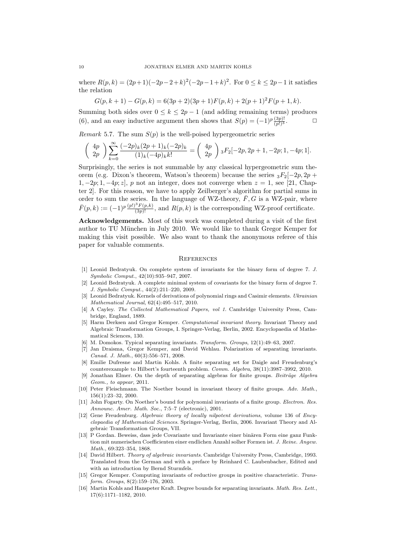where  $R(p, k) = (2p+1)(-2p-2+k)^2(-2p-1+k)^2$ . For  $0 \le k \le 2p-1$  it satisfies the relation

 $G(p, k + 1) - G(p, k) = 6(3p + 2)(3p + 1)F(p, k) + 2(p + 1)^2F(p + 1, k).$ 

Summing both sides over  $0 \leq k \leq 2p-1$  (and adding remaining terms) produces (6), and an easy inductive argument then shows that  $S(p) = (-1)^p \frac{(\frac{3p)!}{(p!)^3}}{$ .

Remark 5.7. The sum  $S(p)$  is the well-poised hypergeometric series

$$
\begin{pmatrix} 4p \\ 2p \end{pmatrix} \sum_{k=0}^{\infty} \frac{(-2p)_k (2p+1)_k (-2p)_k}{(1)_k (-4p)_k k!} = \begin{pmatrix} 4p \\ 2p \end{pmatrix} {}_3F_2[-2p, 2p+1, -2p; 1, -4p; 1].
$$

Surprisingly, the series is not summable by any classical hypergeometric sum theorem (e.g. Dixon's theorem, Watson's theorem) because the series  ${}_{3}F_{2}[-2p, 2p +$  $1, -2p; 1, -4p; z$ , p not an integer, does not converge when  $z = 1$ , see [21, Chapter 2]. For this reason, we have to apply Zeilberger's algorithm for partial sums in order to sum the series. In the language of WZ-theory,  $\bar{F}$ , G is a WZ-pair, where  $\bar{F}(p,k) := (-1)^p \frac{(p!)^3 F(p,k)}{(3p)!}$ , and  $R(p,k)$  is the corresponding WZ-proof certificate.

Acknowledgements. Most of this work was completed during a visit of the first author to TU München in July 2010. We would like to thank Gregor Kemper for making this visit possible. We also want to thank the anonymous referee of this paper for valuable comments.

#### **REFERENCES**

- [1] Leonid Bedratyuk. On complete system of invariants for the binary form of degree 7. J. Symbolic Comput., 42(10):935–947, 2007.
- [2] Leonid Bedratyuk. A complete minimal system of covariants for the binary form of degree 7. J. Symbolic Comput., 44(2):211–220, 2009.
- [3] Leonid Bedratyuk. Kernels of derivations of polynomial rings and Casimir elements. Ukrainian Mathematical Journal, 62(4):495–517, 2010.
- [4] A Cayley. The Collected Mathematical Papers, vol 1. Cambridge University Press, Cambridge, England, 1889.
- [5] Harm Derksen and Gregor Kemper. Computational invariant theory. Invariant Theory and Algebraic Transformation Groups, I. Springer-Verlag, Berlin, 2002. Encyclopaedia of Mathematical Sciences, 130.
- [6] M. Domokos. Typical separating invariants. Transform. Groups, 12(1):49–63, 2007.
- [7] Jan Draisma, Gregor Kemper, and David Wehlau. Polarization of separating invariants. Canad. J. Math., 60(3):556–571, 2008.
- [8] Emilie Dufresne and Martin Kohls. A finite separating set for Daigle and Freudenburg's counterexample to Hilbert's fourteenth problem. Comm. Algebra, 38(11):3987–3992, 2010.
- [9] Jonathan Elmer. On the depth of separating algebras for finite groups. Beiträge Algebra Geom., to appear, 2011.
- [10] Peter Fleischmann. The Noether bound in invariant theory of finite groups. Adv. Math., 156(1):23–32, 2000.
- [11] John Fogarty. On Noether's bound for polynomial invariants of a finite group. Electron. Res. Announc. Amer. Math. Soc., 7:5–7 (electronic), 2001.
- [12] Gene Freudenburg. Algebraic theory of locally nilpotent derivations, volume 136 of Encyclopaedia of Mathematical Sciences. Springer-Verlag, Berlin, 2006. Invariant Theory and Algebraic Transformation Groups, VII.
- [13] P Gordan. Beweiss, dass jede Covariante und Invariante einer binären Form eine ganz Funktion mit numerischen Coefficienten einer endlichen Anzahl solher Formen ist. J. Reine. Angew. Math., 69:323–354, 1868.
- [14] David Hilbert. Theory of algebraic invariants. Cambridge University Press, Cambridge, 1993. Translated from the German and with a preface by Reinhard C. Laubenbacher, Edited and with an introduction by Bernd Sturmfels.
- [15] Gregor Kemper. Computing invariants of reductive groups in positive characteristic. Transform. Groups, 8(2):159–176, 2003.
- [16] Martin Kohls and Hanspeter Kraft. Degree bounds for separating invariants. Math. Res. Lett., 17(6):1171–1182, 2010.